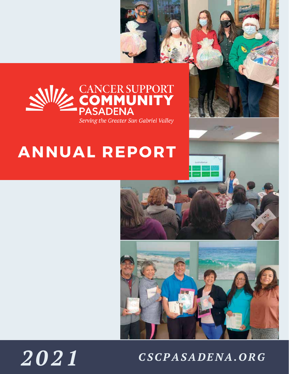

Serving the Greater San Gabriel Valley

# **ANNUAL REPORT**

# *2 0 2 1 CSCP <sup>A</sup> <sup>S</sup> <sup>A</sup> <sup>D</sup> ENA .OR <sup>G</sup>*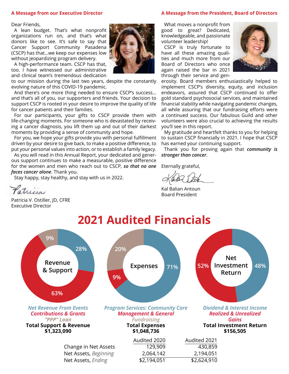#### **A Message from our Executive Director**

#### **A Message from the President, Board of Directors**

Dear Friends,

A lean budget. That's what nonprofit organizations run on, and that's what donors like to see. It's safe to say that Cancer Support Community Pasadena (CSCP) has that…we keep our expenses low without jeopardizing program delivery.

A high-performance team. CSCP has that, too. I have witnessed our administrative and clinical team's tremendous dedication

to our mission during the last two years, despite the constantly evolving nature of this COVID-19 pandemic.

And there's one more thing needed to ensure CSCP's success… and that's all of you, our supporters and friends. Your decision to support CSCP is rooted in your desire to improve the quality of life for cancer patients and their families.

For our participants, your gifts to CSCP provide them with life-changing moments. For someone who is devastated by receiving a cancer diagnosis, you lift them up and out of their darkest moments by providing a sense of community and hope.

For you, we hope your gifts provide you with personal fulfillment driven by your desire to give back, to make a positive difference, to put your personal values into action, or to establish a family legacy.

As you will read in this Annual Report, your dedicated and generous support continues to make a measurable, positive difference for the women and men who reach out to CSCP, *so that no one faces cancer alone*. Thank you.

Stay happy, stay healthy, and stay with us in 2022.

etricia

Patricia V. Ostiller, JD, CFRE Executive Director



What moves a nonprofit from good to great? Dedicated, knowledgeable, and passionate volunteer leadership!

CSCP is truly fortunate to have all these amazing qualities and much more from our Board of Directors who once again raised the bar in 2021 through their service and gen-



erosity. Board members enthusiastically helped to implement CSCP's diversity, equity, and inclusion endeavors, assured that CSCP continued to offer gold standard psychosocial services, and maintained financial stability while navigating pandemic changes, all while assuring that our fundraising efforts were a continued success. Our fabulous Guild and other volunteers were also crucial to achieving the results you'll see in this report.

My gratitude and heartfelt thanks to you for helping to sustain CSCP financially in 2021. I hope that CSCP has earned your continuing support.

Thank you for proving again that *community is stronger than cancer*.

Eternally grateful,

Kal Balian Antoun Board President

## **2021 Audited Financials**

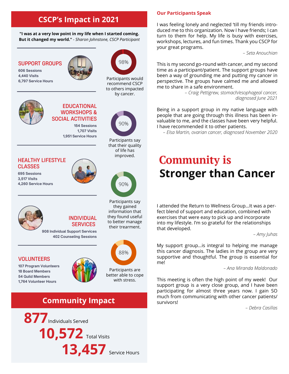## **CSCP'S IMPACT IN 2021 CSCP's Impact in 2021**

**"I was at a very low point in my life when I started coming. But it changed my world."** *- Sharon Johnstone, CSCP Participant*

### SUPPORT GROUPS

**606 Sessions 4,440 Visits 6,797 Service Hours**





Participants would recommend CSCP to others impacted by cancer.

90%

Participants say that their quality of life has improved.

90%

Participants say they gained information that they found useful to better manage their trearment.



#### EDUCATIONAL WORKSHOPS & SOCIAL ACTIVITIES

**154 Sessions 1,707 Visits 1,951 Service Hours**

#### HEALTHY LIFESTYLE **CLASSES**

**695 Sessions 3,517 Visits 4,260 Service Hours**





### INDIVIDUAL **SERVICES**

**908 Individual Support Services 402 Counseling Sessions**

#### VOLUNTEERS

**107 Program Volunteers 18 Board Members 54 Guild Members 1,764 Volunteer Hours**





#### **Our Participants Speak**

I was feeling lonely and neglected 'till my friends introduced me to this organization. Now I have friends; I can turn to them for help. My life is busy with exercises, workshops, lectures, and fun times. Thank you CSCP for your great programs.

*– Seta Anouchian*

This is my second go-round with cancer, and my second time as a participant/patient. The support groups have been a way of grounding me and putting my cancer in perspective. The groups have calmed me and allowed me to share in a safe environment.

*– Craig Pettigrew, stomach/esophageal cancer, diagnosed June 2021*

Being in a support group in my native language with people that are going through this illness has been invaluable to me, and the classes have been very helpful. I have recommended it to other patients.

*– Elsa Martin, ovarian cancer, diagnosed November 2020*

## **Community is Stronger than Cancer**

I attended the Return to Wellness Group…It was a perfect blend of support and education, combined with exercises that were easy to pick up and incorporate into my lifestyle. I'm so grateful for the relationships that developed.

*– Amy Juhas*

My support group…is integral to helping me manage this cancer diagnosis. The ladies in the group are very supportive and thoughtful. The group is essential for me!

*– Ana Miranda Maldonado*

This meeting is often the high point of my week! Our support group is a very close group, and I have been participating for almost three years now. I gain SO much from communicating with other cancer patients/ survivors!

*– Debra Casillas*

#### **Community Impa Community Impact**